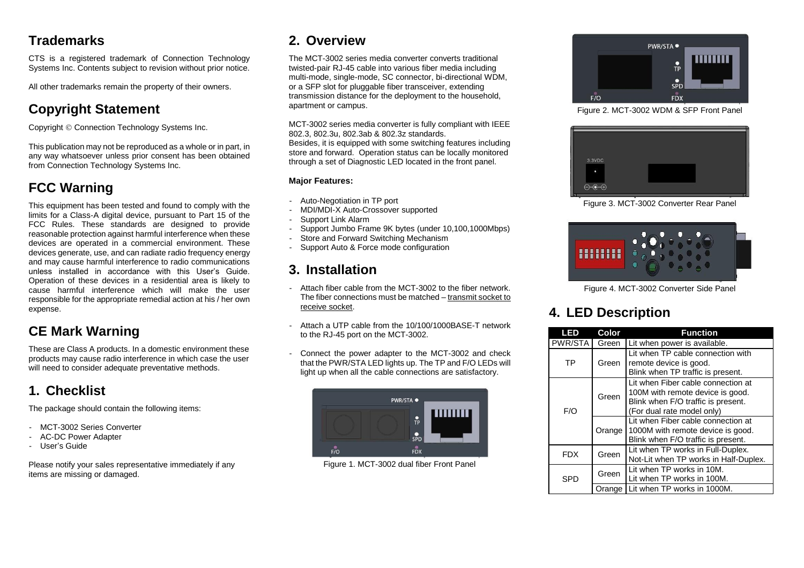### **Trademarks**

CTS is a registered trademark of Connection Technology Systems Inc. Contents subject to revision without prior notice.

All other trademarks remain the property of their owners.

# **Copyright Statement**

Copyright © Connection Technology Systems Inc.

This publication may not be reproduced as a whole or in part, in any way whatsoever unless prior consent has been obtained from Connection Technology Systems Inc.

# **FCC Warning**

This equipment has been tested and found to comply with the limits for a Class-A digital device, pursuant to Part 15 of the FCC Rules. These standards are designed to provide reasonable protection against harmful interference when these devices are operated in a commercial environment. These devices generate, use, and can radiate radio frequency energy and may cause harmful interference to radio communications unless installed in accordance with this User's Guide. Operation of these devices in a residential area is likely to cause harmful interference which will make the user responsible for the appropriate remedial action at his / her own expense.

### **CE Mark Warning**

These are Class A products. In a domestic environment these products may cause radio interference in which case the user will need to consider adequate preventative methods.

# **1. Checklist**

The package should contain the following items:

- MCT-3002 Series Converter
- AC-DC Power Adapter
- User's Guide

Please notify your sales representative immediately if any items are missing or damaged.

# **2. Overview**

The MCT-3002 series media converter converts traditional twisted-pair RJ-45 cable into various fiber media including multi-mode, single-mode, SC connector, bi-directional WDM, or a SFP slot for pluggable fiber transceiver, extending transmission distance for the deployment to the household, apartment or campus.

MCT-3002 series media converter is fully compliant with IEEE 802.3, 802.3u, 802.3ab & 802.3z standards.

Besides, it is equipped with some switching features including store and forward. Operation status can be locally monitored through a set of Diagnostic LED located in the front panel.

### **Major Features:**

- Auto-Negotiation in TP port
- MDI/MDI-X Auto-Crossover supported
- Support Link Alarm
- Support Jumbo Frame 9K bytes (under 10,100,1000Mbps)
- Store and Forward Switching Mechanism
- Support Auto & Force mode configuration

### **3. Installation**

- Attach fiber cable from the MCT-3002 to the fiber network. The fiber connections must be matched – transmit socket to receive socket.
- Attach a UTP cable from the 10/100/1000BASE-T network to the RJ-45 port on the MCT-3002.
- Connect the power adapter to the MCT-3002 and check that the PWR/STA LED lights up. The TP and F/O LEDs will light up when all the cable connections are satisfactory.



Figure 1. MCT-3002 dual fiber Front Panel



Figure 2. MCT-3002 WDM & SFP Front Panel



Figure 3. MCT-3002 Converter Rear Panel



Figure 4. MCT-3002 Converter Side Panel

# **4. LED Description**

| LED        | Color  | <b>Function</b>                                                                                                                            |
|------------|--------|--------------------------------------------------------------------------------------------------------------------------------------------|
| PWR/STA    | Green  | Lit when power is available.                                                                                                               |
| ТP         | Green  | Lit when TP cable connection with<br>remote device is good.<br>Blink when TP traffic is present.                                           |
| F/O        | Green  | Lit when Fiber cable connection at<br>100M with remote device is good.<br>Blink when F/O traffic is present.<br>(For dual rate model only) |
|            | Orange | Lit when Fiber cable connection at<br>1000M with remote device is good.<br>Blink when F/O traffic is present.                              |
| <b>FDX</b> | Green  | Lit when TP works in Full-Duplex.<br>Not-Lit when TP works in Half-Duplex.                                                                 |
| SPD        | Green  | Lit when TP works in 10M.<br>Lit when TP works in 100M.                                                                                    |
|            | Orange | Lit when TP works in 1000M.                                                                                                                |